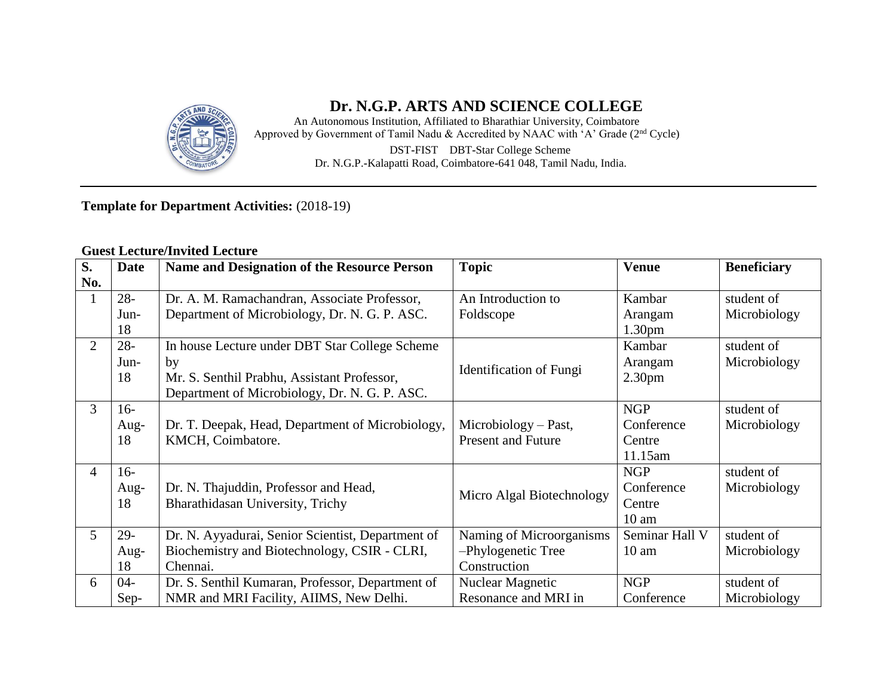

# **Dr. N.G.P. ARTS AND SCIENCE COLLEGE**

An Autonomous Institution, Affiliated to Bharathiar University, Coimbatore Approved by Government of Tamil Nadu & Accredited by NAAC with 'A' Grade (2nd Cycle) DST**-**FIST DBT**-**Star College Scheme Dr. N.G.P.**-**Kalapatti Road, Coimbatore**-**641 048, Tamil Nadu, India.

## **Template for Department Activities:** (2018-19)

#### **Guest Lecture/Invited Lecture**

| S.             | <b>Date</b> | <b>Name and Designation of the Resource Person</b> | <b>Topic</b>              | <b>Venue</b>       | <b>Beneficiary</b> |
|----------------|-------------|----------------------------------------------------|---------------------------|--------------------|--------------------|
| No.            |             |                                                    |                           |                    |                    |
|                | $28 -$      | Dr. A. M. Ramachandran, Associate Professor,       | An Introduction to        | Kambar             | student of         |
|                | Jun-        | Department of Microbiology, Dr. N. G. P. ASC.      | Foldscope                 | Arangam            | Microbiology       |
|                | 18          |                                                    |                           | 1.30 <sub>pm</sub> |                    |
| $\overline{2}$ | $28 -$      | In house Lecture under DBT Star College Scheme     |                           | Kambar             | student of         |
|                | Jun-        | by                                                 |                           | Arangam            | Microbiology       |
|                | 18          | Mr. S. Senthil Prabhu, Assistant Professor,        | Identification of Fungi   | 2.30 <sub>pm</sub> |                    |
|                |             | Department of Microbiology, Dr. N. G. P. ASC.      |                           |                    |                    |
| 3              | $16-$       |                                                    |                           | <b>NGP</b>         | student of         |
|                | Aug-        | Dr. T. Deepak, Head, Department of Microbiology,   | $Microbiology - Past,$    | Conference         | Microbiology       |
|                | 18          | KMCH, Coimbatore.                                  | <b>Present and Future</b> | Centre             |                    |
|                |             |                                                    |                           | 11.15am            |                    |
| 4              | $16-$       |                                                    |                           | <b>NGP</b>         | student of         |
|                | Aug-        | Dr. N. Thajuddin, Professor and Head,              | Micro Algal Biotechnology | Conference         | Microbiology       |
|                | 18          | Bharathidasan University, Trichy                   |                           | Centre             |                    |
|                |             |                                                    |                           | $10 \text{ am}$    |                    |
| 5              | $29-$       | Dr. N. Ayyadurai, Senior Scientist, Department of  | Naming of Microorganisms  | Seminar Hall V     | student of         |
|                | Aug-        | Biochemistry and Biotechnology, CSIR - CLRI,       | -Phylogenetic Tree        | $10 \text{ am}$    | Microbiology       |
|                | 18          | Chennai.                                           | Construction              |                    |                    |
| 6              | $04 -$      | Dr. S. Senthil Kumaran, Professor, Department of   | <b>Nuclear Magnetic</b>   | <b>NGP</b>         | student of         |
|                | Sep-        | NMR and MRI Facility, AIIMS, New Delhi.            | Resonance and MRI in      | Conference         | Microbiology       |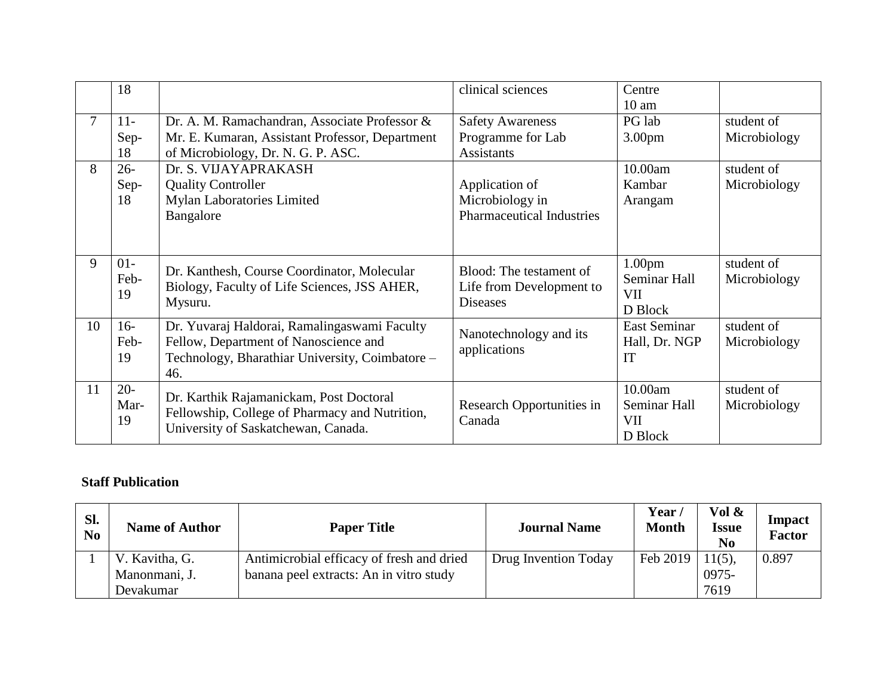|    | 18                   |                                                                                                                                                 | clinical sciences                                                      | Centre<br>$10 \text{ am}$                                   |                            |
|----|----------------------|-------------------------------------------------------------------------------------------------------------------------------------------------|------------------------------------------------------------------------|-------------------------------------------------------------|----------------------------|
|    | $11 -$<br>Sep-<br>18 | Dr. A. M. Ramachandran, Associate Professor &<br>Mr. E. Kumaran, Assistant Professor, Department<br>of Microbiology, Dr. N. G. P. ASC.          | <b>Safety Awareness</b><br>Programme for Lab<br><b>Assistants</b>      | PG lab<br>3.00pm                                            | student of<br>Microbiology |
| 8  | $26 -$<br>Sep-<br>18 | Dr. S. VIJAYAPRAKASH<br><b>Quality Controller</b><br>Mylan Laboratories Limited<br>Bangalore                                                    | Application of<br>Microbiology in<br><b>Pharmaceutical Industries</b>  | 10.00am<br>Kambar<br>Arangam                                | student of<br>Microbiology |
| 9  | $01 -$<br>Feb-<br>19 | Dr. Kanthesh, Course Coordinator, Molecular<br>Biology, Faculty of Life Sciences, JSS AHER,<br>Mysuru.                                          | Blood: The testament of<br>Life from Development to<br><b>Diseases</b> | 1.00 <sub>pm</sub><br>Seminar Hall<br><b>VII</b><br>D Block | student of<br>Microbiology |
| 10 | $16-$<br>Feb-<br>19  | Dr. Yuvaraj Haldorai, Ramalingaswami Faculty<br>Fellow, Department of Nanoscience and<br>Technology, Bharathiar University, Coimbatore –<br>46. | Nanotechnology and its<br>applications                                 | <b>East Seminar</b><br>Hall, Dr. NGP<br>IT                  | student of<br>Microbiology |
| 11 | $20 -$<br>Mar-<br>19 | Dr. Karthik Rajamanickam, Post Doctoral<br>Fellowship, College of Pharmacy and Nutrition,<br>University of Saskatchewan, Canada.                | Research Opportunities in<br>Canada                                    | 10.00am<br>Seminar Hall<br><b>VII</b><br>D Block            | student of<br>Microbiology |

#### **Staff Publication**

| Sl.<br>N <sub>0</sub> | <b>Name of Author</b> | <b>Paper Title</b>                        | <b>Journal Name</b>  | Year /<br><b>Month</b> | Vol &<br><b>Issue</b><br>No | Impact<br><b>Factor</b> |
|-----------------------|-----------------------|-------------------------------------------|----------------------|------------------------|-----------------------------|-------------------------|
|                       | V. Kavitha, G.        | Antimicrobial efficacy of fresh and dried | Drug Invention Today | Feb 2019               | $11(5)$ ,                   | 0.897                   |
|                       | Manonmani, J.         | banana peel extracts: An in vitro study   |                      |                        | 0975-                       |                         |
|                       | Devakumar             |                                           |                      |                        | 7619                        |                         |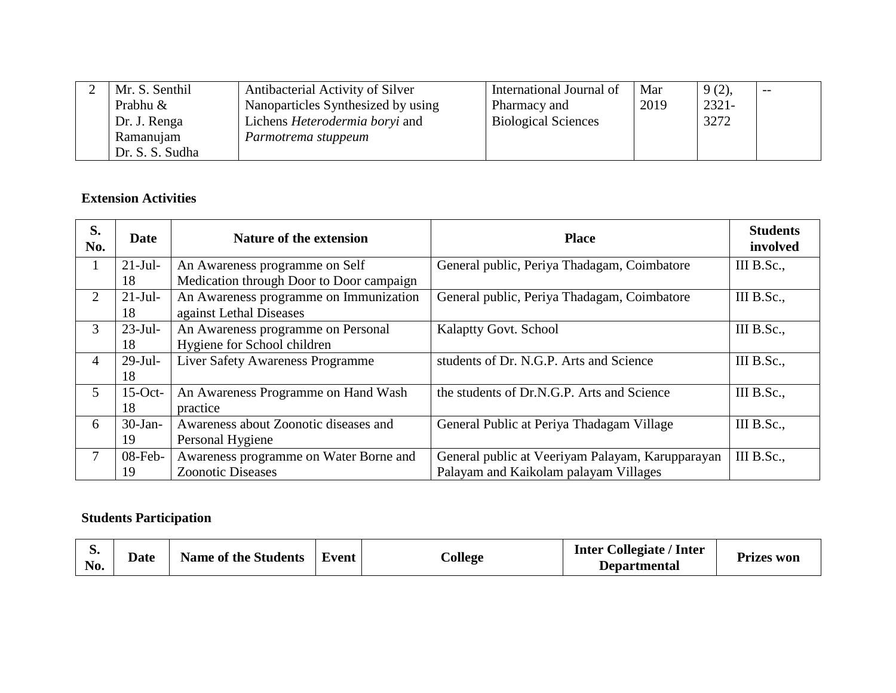| Mr. S. Senthil  | Antibacterial Activity of Silver      | International Journal of   | Mar  | $9(2)$ , | $- -$ |
|-----------------|---------------------------------------|----------------------------|------|----------|-------|
| Prabhu &        | Nanoparticles Synthesized by using    | Pharmacy and               | 2019 | $2321 -$ |       |
| Dr. J. Renga    | Lichens <i>Heterodermia boryi</i> and | <b>Biological Sciences</b> |      | 3272     |       |
| Ramanujam       | Parmotrema stuppeum                   |                            |      |          |       |
| Dr. S. S. Sudha |                                       |                            |      |          |       |

### **Extension Activities**

| S.<br>No.      | <b>Date</b> | Nature of the extension                  | <b>Place</b>                                     | <b>Students</b><br>involved |
|----------------|-------------|------------------------------------------|--------------------------------------------------|-----------------------------|
|                | $21-Jul-$   | An Awareness programme on Self           | General public, Periya Thadagam, Coimbatore      | III B.Sc.,                  |
|                | 18          | Medication through Door to Door campaign |                                                  |                             |
| $\overline{2}$ | $21-Jul-$   | An Awareness programme on Immunization   | General public, Periya Thadagam, Coimbatore      | III B.Sc.,                  |
|                | 18          | against Lethal Diseases                  |                                                  |                             |
| 3              | $23-Jul-$   | An Awareness programme on Personal       | <b>Kalaptty Govt. School</b>                     | III B.Sc.,                  |
|                | 18          | Hygiene for School children              |                                                  |                             |
| $\overline{4}$ | $29$ -Jul-  | <b>Liver Safety Awareness Programme</b>  | students of Dr. N.G.P. Arts and Science          | III B.Sc.,                  |
|                | 18          |                                          |                                                  |                             |
| $\mathfrak{S}$ | $15$ -Oct-  | An Awareness Programme on Hand Wash      | the students of Dr.N.G.P. Arts and Science       | III B.Sc.,                  |
|                | 18          | practice                                 |                                                  |                             |
| 6              | $30-Jan-$   | Awareness about Zoonotic diseases and    | General Public at Periya Thadagam Village        | III B.Sc.,                  |
|                | 19          | Personal Hygiene                         |                                                  |                             |
|                | $08$ -Feb-  | Awareness programme on Water Borne and   | General public at Veeriyam Palayam, Karupparayan | III B.Sc.,                  |
|                | 19          | <b>Zoonotic Diseases</b>                 | Palayam and Kaikolam palayam Villages            |                             |

# **Students Participation**

| ◡<br>No. | <b>Date</b> | <b>Name of the Students</b> | Event | College | <b>Inter Collegiate / Inter</b><br><b>Departmental</b> | <b>Prizes won</b> |
|----------|-------------|-----------------------------|-------|---------|--------------------------------------------------------|-------------------|
|----------|-------------|-----------------------------|-------|---------|--------------------------------------------------------|-------------------|